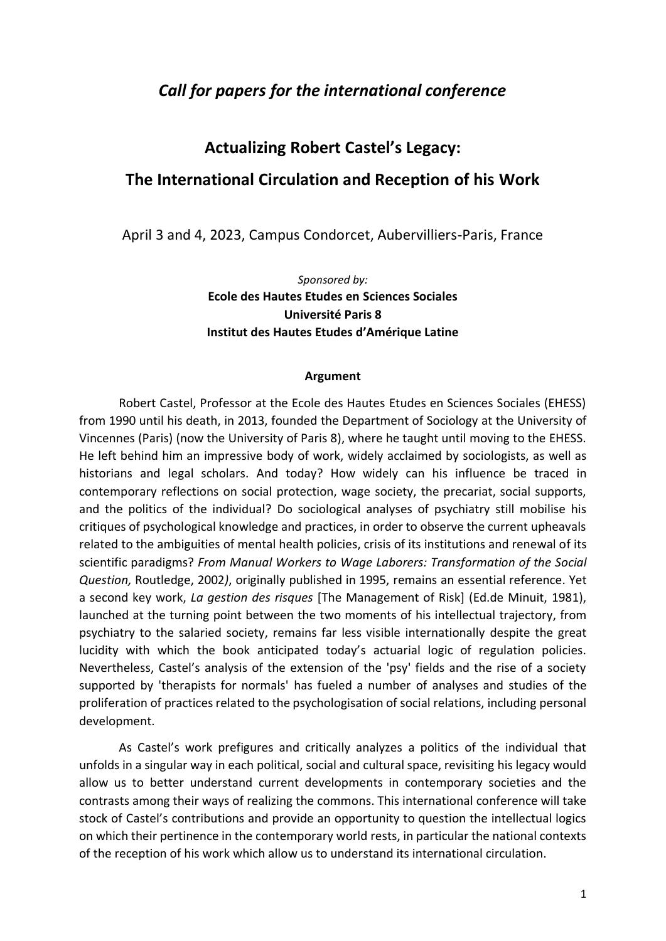# *Call for papers for the international conference*

# **Actualizing Robert Castel's Legacy: The International Circulation and Reception of his Work**

April 3 and 4, 2023, Campus Condorcet, Aubervilliers-Paris, France

*Sponsored by:* **Ecole des Hautes Etudes en Sciences Sociales Université Paris 8 Institut des Hautes Etudes d'Amérique Latine**

#### **Argument**

Robert Castel, Professor at the Ecole des Hautes Etudes en Sciences Sociales (EHESS) from 1990 until his death, in 2013, founded the Department of Sociology at the University of Vincennes (Paris) (now the University of Paris 8), where he taught until moving to the EHESS. He left behind him an impressive body of work, widely acclaimed by sociologists, as well as historians and legal scholars. And today? How widely can his influence be traced in contemporary reflections on social protection, wage society, the precariat, social supports, and the politics of the individual? Do sociological analyses of psychiatry still mobilise his critiques of psychological knowledge and practices, in order to observe the current upheavals related to the ambiguities of mental health policies, crisis of its institutions and renewal of its scientific paradigms? *From Manual Workers to Wage Laborers: Transformation of the Social Question,* Routledge, 2002*)*, originally published in 1995, remains an essential reference. Yet a second key work, *La gestion des risques* [The Management of Risk] (Ed.de Minuit, 1981), launched at the turning point between the two moments of his intellectual trajectory, from psychiatry to the salaried society, remains far less visible internationally despite the great lucidity with which the book anticipated today's actuarial logic of regulation policies. Nevertheless, Castel's analysis of the extension of the 'psy' fields and the rise of a society supported by 'therapists for normals' has fueled a number of analyses and studies of the proliferation of practices related to the psychologisation of social relations, including personal development.

As Castel's work prefigures and critically analyzes a politics of the individual that unfolds in a singular way in each political, social and cultural space, revisiting his legacy would allow us to better understand current developments in contemporary societies and the contrasts among their ways of realizing the commons. This international conference will take stock of Castel's contributions and provide an opportunity to question the intellectual logics on which their pertinence in the contemporary world rests, in particular the national contexts of the reception of his work which allow us to understand its international circulation.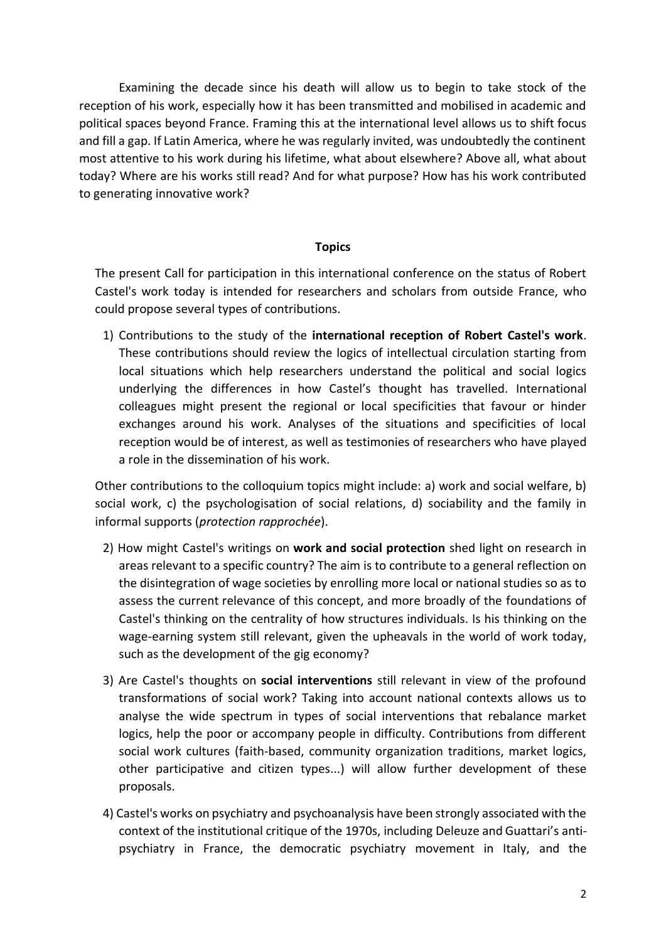Examining the decade since his death will allow us to begin to take stock of the reception of his work, especially how it has been transmitted and mobilised in academic and political spaces beyond France. Framing this at the international level allows us to shift focus and fill a gap. If Latin America, where he was regularly invited, was undoubtedly the continent most attentive to his work during his lifetime, what about elsewhere? Above all, what about today? Where are his works still read? And for what purpose? How has his work contributed to generating innovative work?

### **Topics**

The present Call for participation in this international conference on the status of Robert Castel's work today is intended for researchers and scholars from outside France, who could propose several types of contributions.

1) Contributions to the study of the **international reception of Robert Castel's work**. These contributions should review the logics of intellectual circulation starting from local situations which help researchers understand the political and social logics underlying the differences in how Castel's thought has travelled. International colleagues might present the regional or local specificities that favour or hinder exchanges around his work. Analyses of the situations and specificities of local reception would be of interest, as well as testimonies of researchers who have played a role in the dissemination of his work.

Other contributions to the colloquium topics might include: a) work and social welfare, b) social work, c) the psychologisation of social relations, d) sociability and the family in informal supports (*protection rapprochée*).

- 2) How might Castel's writings on **work and social protection** shed light on research in areas relevant to a specific country? The aim is to contribute to a general reflection on the disintegration of wage societies by enrolling more local or national studies so as to assess the current relevance of this concept, and more broadly of the foundations of Castel's thinking on the centrality of how structures individuals. Is his thinking on the wage-earning system still relevant, given the upheavals in the world of work today, such as the development of the gig economy?
- 3) Are Castel's thoughts on **social interventions** still relevant in view of the profound transformations of social work? Taking into account national contexts allows us to analyse the wide spectrum in types of social interventions that rebalance market logics, help the poor or accompany people in difficulty. Contributions from different social work cultures (faith-based, community organization traditions, market logics, other participative and citizen types...) will allow further development of these proposals.
- 4) Castel's works on psychiatry and psychoanalysis have been strongly associated with the context of the institutional critique of the 1970s, including Deleuze and Guattari's antipsychiatry in France, the democratic psychiatry movement in Italy, and the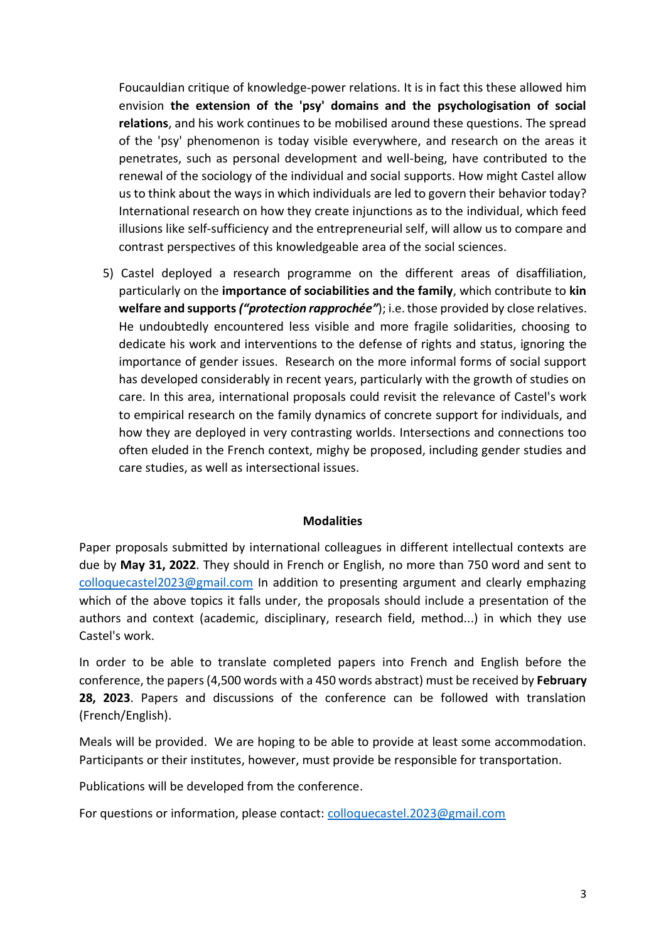Foucauldian critique of knowledge-power relations. It is in fact this these allowed him envision **the extension of the 'psy' domains and the psychologisation of social relations**, and his work continues to be mobilised around these questions. The spread of the 'psy' phenomenon is today visible everywhere, and research on the areas it penetrates, such as personal development and well-being, have contributed to the renewal of the sociology of the individual and social supports. How might Castel allow us to think about the ways in which individuals are led to govern their behavior today? International research on how they create injunctions as to the individual, which feed illusions like self-sufficiency and the entrepreneurial self, will allow us to compare and contrast perspectives of this knowledgeable area of the social sciences.

5) Castel deployed a research programme on the different areas of disaffiliation, particularly on the **importance of sociabilities and the family**, which contribute to **kin welfare and supports** *("protection rapprochée"*); i.e. those provided by close relatives. He undoubtedly encountered less visible and more fragile solidarities, choosing to dedicate his work and interventions to the defense of rights and status, ignoring the importance of gender issues. Research on the more informal forms of social support has developed considerably in recent years, particularly with the growth of studies on care. In this area, international proposals could revisit the relevance of Castel's work to empirical research on the family dynamics of concrete support for individuals, and how they are deployed in very contrasting worlds. Intersections and connections too often eluded in the French context, mighy be proposed, including gender studies and care studies, as well as intersectional issues.

#### **Modalities**

Paper proposals submitted by international colleagues in different intellectual contexts are due by **May 31, 2022**. They should in French or English, no more than 750 word and sent to [colloquecastel2023@gmail.com](mailto:colloquecastel2023@gmail.com) In addition to presenting argument and clearly emphazing which of the above topics it falls under, the proposals should include a presentation of the authors and context (academic, disciplinary, research field, method...) in which they use Castel's work.

In order to be able to translate completed papers into French and English before the conference, the papers (4,500 words with a 450 words abstract) must be received by **February 28, 2023**. Papers and discussions of the conference can be followed with translation (French/English).

Meals will be provided. We are hoping to be able to provide at least some accommodation. Participants or their institutes, however, must provide be responsible for transportation.

Publications will be developed from the conference.

For questions or information, please contact: [colloquecastel.2023@gmail.com](mailto:colloquecastel.2023@gmail.com)